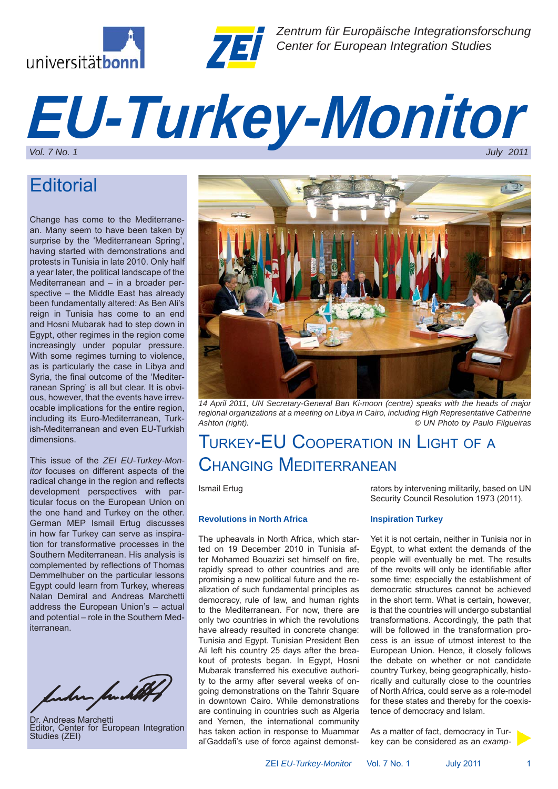



*Zentrum für Europäische Integrationsforschung Center for European Integration Studies*

# *EU-Turkey-Monitor*

## **Editorial**

Change has come to the Mediterranean. Many seem to have been taken by surprise by the 'Mediterranean Spring', having started with demonstrations and protests in Tunisia in late 2010. Only half a year later, the political landscape of the Mediterranean and – in a broader perspective – the Middle East has already been fundamentally altered: As Ben Ali's reign in Tunisia has come to an end and Hosni Mubarak had to step down in Egypt, other regimes in the region come increasingly under popular pressure. With some regimes turning to violence, as is particularly the case in Libya and Syria, the final outcome of the 'Mediterranean Spring' is all but clear. It is obvious, however, that the events have irrevocable implications for the entire region, including its Euro-Mediterranean, Turkish-Mediterranean and even EU-Turkish dimensions.

This issue of the *ZEI EU-Turkey-Monitor* focuses on different aspects of the radical change in the region and reflects development perspectives with particular focus on the European Union on the one hand and Turkey on the other. German MEP Ismail Ertug discusses in how far Turkey can serve as inspiration for transformative processes in the Southern Mediterranean. His analysis is complemented by reflections of Thomas Demmelhuber on the particular lessons Egypt could learn from Turkey, whereas Nalan Demiral and Andreas Marchetti address the European Union's – actual and potential – role in the Southern Mediterranean.

funder fundet

Dr. Andreas Marchetti Editor, Center for European Integration Studies (ZEI)



*14 April 2011, UN Secretary-General Ban Ki-moon (centre) speaks with the heads of major regional organizations at a meeting on Libya in Cairo, including High Representative Catherine Ashton (right). © UN Photo by Paulo Filgueiras*

## TURKEY-EU COOPERATION IN LIGHT OF <sup>A</sup> CHANGING MEDITERRANEAN

Ismail Ertug

#### **Revolutions in North Africa**

The upheavals in North Africa, which started on 19 December 2010 in Tunisia after Mohamed Bouazizi set himself on fire, rapidly spread to other countries and are promising a new political future and the realization of such fundamental principles as democracy, rule of law, and human rights to the Mediterranean. For now, there are only two countries in which the revolutions have already resulted in concrete change: Tunisia and Egypt. Tunisian President Ben Ali left his country 25 days after the breakout of protests began. In Egypt, Hosni Mubarak transferred his executive authority to the army after several weeks of ongoing demonstrations on the Tahrir Square in downtown Cairo. While demonstrations are continuing in countries such as Algeria and Yemen, the international community has taken action in response to Muammar al'Gaddafi's use of force against demonstrators by intervening militarily, based on UN Security Council Resolution 1973 (2011).

#### **Inspiration Turkey**

Yet it is not certain, neither in Tunisia nor in Egypt, to what extent the demands of the people will eventually be met. The results of the revolts will only be identifiable after some time; especially the establishment of democratic structures cannot be achieved in the short term. What is certain, however, is that the countries will undergo substantial transformations. Accordingly, the path that will be followed in the transformation process is an issue of utmost interest to the European Union. Hence, it closely follows the debate on whether or not candidate country Turkey, being geographically, historically and culturally close to the countries of North Africa, could serve as a role-model for these states and thereby for the coexistence of democracy and Islam.

As a matter of fact, democracy in Turkey can be considered as an *examp-*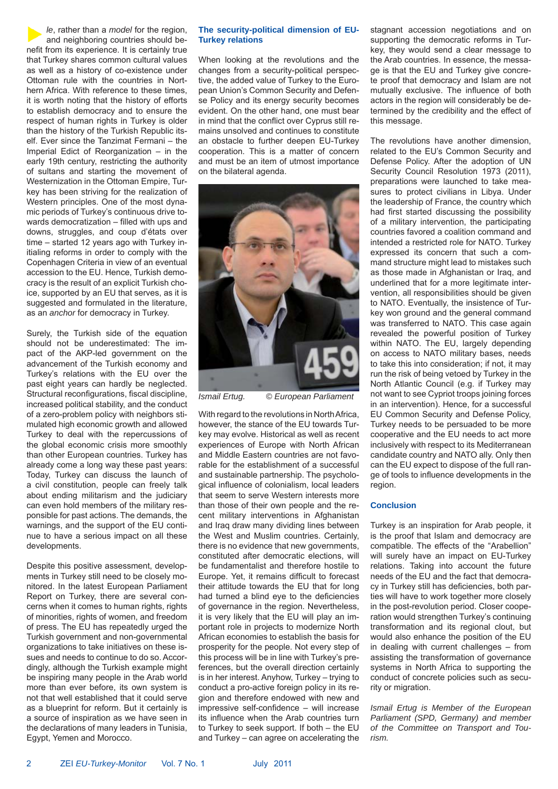*le*, rather than a *model* for the region, and neighboring countries should benefit from its experience. It is certainly true that Turkey shares common cultural values as well as a history of co-existence under Ottoman rule with the countries in Northern Africa. With reference to these times, it is worth noting that the history of efforts to establish democracy and to ensure the respect of human rights in Turkey is older than the history of the Turkish Republic itself. Ever since the Tanzimat Fermani – the Imperial Edict of Reorganization – in the early 19th century, restricting the authority of sultans and starting the movement of Westernization in the Ottoman Empire, Turkey has been striving for the realization of Western principles. One of the most dynamic periods of Turkey's continuous drive towards democratization – filled with ups and downs, struggles, and coup d'états over time – started 12 years ago with Turkey initialing reforms in order to comply with the Copenhagen Criteria in view of an eventual accession to the EU. Hence, Turkish democracy is the result of an explicit Turkish choice, supported by an EU that serves, as it is suggested and formulated in the literature, as an *anchor* for democracy in Turkey.

Surely, the Turkish side of the equation should not be underestimated: The impact of the AKP-led government on the advancement of the Turkish economy and Turkey's relations with the EU over the past eight years can hardly be neglected. Structural reconfigurations, fiscal discipline, increased political stability, and the conduct of a zero-problem policy with neighbors stimulated high economic growth and allowed Turkey to deal with the repercussions of the global economic crisis more smoothly than other European countries. Turkey has already come a long way these past years: Today, Turkey can discuss the launch of a civil constitution, people can freely talk about ending militarism and the judiciary can even hold members of the military responsible for past actions. The demands, the warnings, and the support of the EU continue to have a serious impact on all these developments.

Despite this positive assessment, developments in Turkey still need to be closely monitored. In the latest European Parliament Report on Turkey, there are several concerns when it comes to human rights, rights of minorities, rights of women, and freedom of press. The EU has repeatedly urged the Turkish government and non-governmental organizations to take initiatives on these issues and needs to continue to do so. Accordingly, although the Turkish example might be inspiring many people in the Arab world more than ever before, its own system is not that well established that it could serve as a blueprint for reform. But it certainly is a source of inspiration as we have seen in the declarations of many leaders in Tunisia, Egypt, Yemen and Morocco.

#### **The security-political dimension of EU-Turkey relations**

When looking at the revolutions and the changes from a security-political perspective, the added value of Turkey to the European Union's Common Security and Defense Policy and its energy security becomes evident. On the other hand, one must bear in mind that the conflict over Cyprus still remains unsolved and continues to constitute an obstacle to further deepen EU-Turkey cooperation. This is a matter of concern and must be an item of utmost importance on the bilateral agenda.



*Ismail Ertug. © European Parliament*

With regard to the revolutions in North Africa, however, the stance of the EU towards Turkey may evolve. Historical as well as recent experiences of Europe with North African and Middle Eastern countries are not favorable for the establishment of a successful and sustainable partnership. The psychological influence of colonialism, local leaders that seem to serve Western interests more than those of their own people and the recent military interventions in Afghanistan and Iraq draw many dividing lines between the West and Muslim countries. Certainly, there is no evidence that new governments, constituted after democratic elections, will be fundamentalist and therefore hostile to Europe. Yet, it remains difficult to forecast their attitude towards the EU that for long had turned a blind eye to the deficiencies of governance in the region. Nevertheless, it is very likely that the EU will play an important role in projects to modernize North African economies to establish the basis for prosperity for the people. Not every step of this process will be in line with Turkey's preferences, but the overall direction certainly is in her interest. Anyhow, Turkey – trying to conduct a pro-active foreign policy in its region and therefore endowed with new and impressive self-confidence – will increase its influence when the Arab countries turn to Turkey to seek support. If both – the EU and Turkey – can agree on accelerating the

stagnant accession negotiations and on supporting the democratic reforms in Turkey, they would send a clear message to the Arab countries. In essence, the message is that the EU and Turkey give concrete proof that democracy and Islam are not mutually exclusive. The influence of both actors in the region will considerably be determined by the credibility and the effect of this message.

The revolutions have another dimension, related to the EU's Common Security and Defense Policy. After the adoption of UN Security Council Resolution 1973 (2011), preparations were launched to take measures to protect civilians in Libya. Under the leadership of France, the country which had first started discussing the possibility of a military intervention, the participating countries favored a coalition command and intended a restricted role for NATO. Turkey expressed its concern that such a command structure might lead to mistakes such as those made in Afghanistan or Iraq, and underlined that for a more legitimate intervention, all responsibilities should be given to NATO. Eventually, the insistence of Turkey won ground and the general command was transferred to NATO. This case again revealed the powerful position of Turkey within NATO. The EU, largely depending on access to NATO military bases, needs to take this into consideration; if not, it may run the risk of being vetoed by Turkey in the North Atlantic Council (e.g. if Turkey may not want to see Cypriot troops joining forces in an intervention). Hence, for a successful EU Common Security and Defense Policy, Turkey needs to be persuaded to be more cooperative and the EU needs to act more inclusively with respect to its Mediterranean candidate country and NATO ally. Only then can the EU expect to dispose of the full range of tools to influence developments in the region.

#### **Conclusion**

Turkey is an inspiration for Arab people, it is the proof that Islam and democracy are compatible. The effects of the "Arabellion" will surely have an impact on EU-Turkey relations. Taking into account the future needs of the EU and the fact that democracy in Turkey still has deficiencies, both parties will have to work together more closely in the post-revolution period. Closer cooperation would strengthen Turkey's continuing transformation and its regional clout, but would also enhance the position of the EU in dealing with current challenges – from assisting the transformation of governance systems in North Africa to supporting the conduct of concrete policies such as security or migration.

*Ismail Ertug is Member of the European Parliament (SPD, Germany) and member of the Committee on Transport and Tourism.*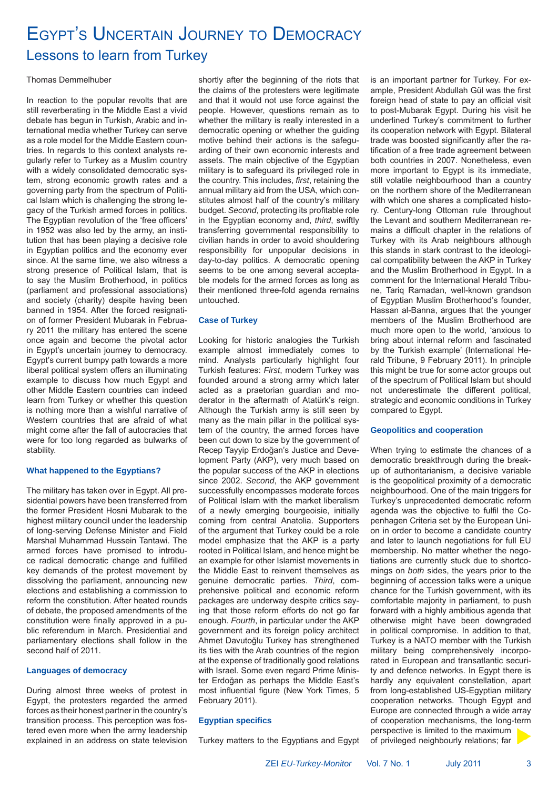## EGYPT'S UNCERTAIN JOURNEY TO DEMOCRACY Lessons to learn from Turkey

### Thomas Demmelhuber

In reaction to the popular revolts that are still reverberating in the Middle East a vivid debate has begun in Turkish, Arabic and international media whether Turkey can serve as a role model for the Middle Eastern countries. In regards to this context analysts regularly refer to Turkey as a Muslim country with a widely consolidated democratic system, strong economic growth rates and a governing party from the spectrum of Political Islam which is challenging the strong legacy of the Turkish armed forces in politics. The Egyptian revolution of the 'free officers' in 1952 was also led by the army, an institution that has been playing a decisive role in Egyptian politics and the economy ever since. At the same time, we also witness a strong presence of Political Islam, that is to say the Muslim Brotherhood, in politics (parliament and professional associations) and society (charity) despite having been banned in 1954. After the forced resignation of former President Mubarak in February 2011 the military has entered the scene once again and become the pivotal actor in Egypt's uncertain journey to democracy. Egypt's current bumpy path towards a more liberal political system offers an illuminating example to discuss how much Egypt and other Middle Eastern countries can indeed learn from Turkey or whether this question is nothing more than a wishful narrative of Western countries that are afraid of what might come after the fall of autocracies that were for too long regarded as bulwarks of stability.

#### **What happened to the Egyptians?**

The military has taken over in Egypt. All presidential powers have been transferred from the former President Hosni Mubarak to the highest military council under the leadership of long-serving Defense Minister and Field Marshal Muhammad Hussein Tantawi. The armed forces have promised to introduce radical democratic change and fulfilled key demands of the protest movement by dissolving the parliament, announcing new elections and establishing a commission to reform the constitution. After heated rounds of debate, the proposed amendments of the constitution were finally approved in a public referendum in March. Presidential and parliamentary elections shall follow in the second half of 2011.

#### **Languages of democracy**

During almost three weeks of protest in Egypt, the protesters regarded the armed forces as their honest partner in the country's transition process. This perception was fostered even more when the army leadership explained in an address on state television shortly after the beginning of the riots that the claims of the protesters were legitimate and that it would not use force against the people. However, questions remain as to whether the military is really interested in a democratic opening or whether the guiding motive behind their actions is the safeguarding of their own economic interests and assets. The main objective of the Egyptian military is to safeguard its privileged role in the country. This includes, *first*, retaining the annual military aid from the USA, which constitutes almost half of the country's military budget. *Second*, protecting its profitable role in the Egyptian economy and, *third*, swiftly transferring governmental responsibility to civilian hands in order to avoid shouldering responsibility for unpopular decisions in day-to-day politics. A democratic opening seems to be one among several acceptable models for the armed forces as long as their mentioned three-fold agenda remains untouched.

#### **Case of Turkey**

Looking for historic analogies the Turkish example almost immediately comes to mind. Analysts particularly highlight four Turkish features: *First*, modern Turkey was founded around a strong army which later acted as a praetorian guardian and moderator in the aftermath of Atatürk's reign. Although the Turkish army is still seen by many as the main pillar in the political system of the country, the armed forces have been cut down to size by the government of Recep Tayyip Erdoğan's Justice and Development Party (AKP), very much based on the popular success of the AKP in elections since 2002. *Second*, the AKP government successfully encompasses moderate forces of Political Islam with the market liberalism of a newly emerging bourgeoisie, initially coming from central Anatolia. Supporters of the argument that Turkey could be a role model emphasize that the AKP is a party rooted in Political Islam, and hence might be an example for other Islamist movements in the Middle East to reinvent themselves as genuine democratic parties. *Third*, comprehensive political and economic reform packages are underway despite critics saying that those reform efforts do not go far enough. *Fourth*, in particular under the AKP government and its foreign policy architect Ahmet Davutoğlu Turkey has strengthened its ties with the Arab countries of the region at the expense of traditionally good relations with Israel. Some even regard Prime Minister Erdoğan as perhaps the Middle East's most influential figure (New York Times, 5 February 2011).

#### **Egyptian specifics**

Turkey matters to the Egyptians and Egypt

is an important partner for Turkey. For example, President Abdullah Gül was the first foreign head of state to pay an official visit to post-Mubarak Egypt. During his visit he underlined Turkey's commitment to further its cooperation network with Egypt. Bilateral trade was boosted significantly after the ratification of a free trade agreement between both countries in 2007. Nonetheless, even more important to Egypt is its immediate, still volatile neighbourhood than a country on the northern shore of the Mediterranean with which one shares a complicated history. Century-long Ottoman rule throughout the Levant and southern Mediterranean remains a difficult chapter in the relations of Turkey with its Arab neighbours although this stands in stark contrast to the ideological compatibility between the AKP in Turkey and the Muslim Brotherhood in Egypt. In a comment for the International Herald Tribune, Tariq Ramadan, well-known grandson of Egyptian Muslim Brotherhood's founder, Hassan al-Banna, argues that the younger members of the Muslim Brotherhood are much more open to the world, 'anxious to bring about internal reform and fascinated by the Turkish example' (International Herald Tribune, 9 February 2011). In principle this might be true for some actor groups out of the spectrum of Political Islam but should not underestimate the different political, strategic and economic conditions in Turkey compared to Egypt.

#### **Geopolitics and cooperation**

When trying to estimate the chances of a democratic breakthrough during the breakup of authoritarianism, a decisive variable is the geopolitical proximity of a democratic neighbourhood. One of the main triggers for Turkey's unprecedented democratic reform agenda was the objective to fulfil the Copenhagen Criteria set by the European Union in order to become a candidate country and later to launch negotiations for full EU membership. No matter whether the negotiations are currently stuck due to shortcomings on *both* sides, the years prior to the beginning of accession talks were a unique chance for the Turkish government, with its comfortable majority in parliament, to push forward with a highly ambitious agenda that otherwise might have been downgraded in political compromise. In addition to that, Turkey is a NATO member with the Turkish military being comprehensively incorporated in European and transatlantic security and defence networks. In Egypt there is hardly any equivalent constellation, apart from long-established US-Egyptian military cooperation networks. Though Egypt and Europe are connected through a wide array of cooperation mechanisms, the long-term perspective is limited to the maximum

of privileged neighbourly relations; far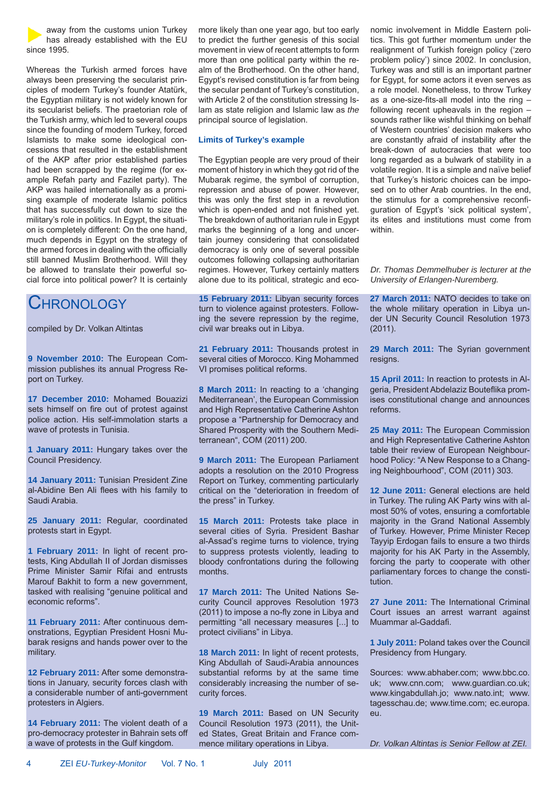away from the customs union Turkey has already established with the EU since 1995.

Whereas the Turkish armed forces have always been preserving the secularist principles of modern Turkey's founder Atatürk, the Egyptian military is not widely known for its secularist beliefs. The praetorian role of the Turkish army, which led to several coups since the founding of modern Turkey, forced Islamists to make some ideological concessions that resulted in the establishment of the AKP after prior established parties had been scrapped by the regime (for example Refah party and Fazilet party). The AKP was hailed internationally as a promising example of moderate Islamic politics that has successfully cut down to size the military's role in politics. In Egypt, the situation is completely different: On the one hand, much depends in Egypt on the strategy of the armed forces in dealing with the officially still banned Muslim Brotherhood. Will they be allowed to translate their powerful social force into political power? It is certainly

## **CHRONOLOGY**

compiled by Dr. Volkan Altintas

**9 November 2010:** The European Commission publishes its annual Progress Report on Turkey.

**17 December 2010:** Mohamed Bouazizi sets himself on fire out of protest against police action. His self-immolation starts a wave of protests in Tunisia.

**1 January 2011:** Hungary takes over the Council Presidency.

**14 January 2011:** Tunisian President Zine al-Abidine Ben Ali flees with his family to Saudi Arabia.

**25 January 2011:** Regular, coordinated protests start in Egypt.

**1 February 2011:** In light of recent protests, King Abdullah II of Jordan dismisses Prime Minister Samir Rifai and entrusts Marouf Bakhit to form a new government, tasked with realising "genuine political and economic reforms".

**11 February 2011:** After continuous demonstrations, Egyptian President Hosni Mubarak resigns and hands power over to the military.

**12 February 2011:** After some demonstrations in January, security forces clash with a considerable number of anti-government protesters in Algiers.

**14 February 2011:** The violent death of a pro-democracy protester in Bahrain sets off a wave of protests in the Gulf kingdom.

more likely than one year ago, but too early to predict the further genesis of this social movement in view of recent attempts to form more than one political party within the realm of the Brotherhood. On the other hand, Egypt's revised constitution is far from being the secular pendant of Turkey's constitution, with Article 2 of the constitution stressing Islam as state religion and Islamic law as *the* principal source of legislation.

#### **Limits of Turkey's example**

The Egyptian people are very proud of their moment of history in which they got rid of the Mubarak regime, the symbol of corruption, repression and abuse of power. However, this was only the first step in a revolution which is open-ended and not finished yet. The breakdown of authoritarian rule in Egypt marks the beginning of a long and uncertain journey considering that consolidated democracy is only one of several possible outcomes following collapsing authoritarian regimes. However, Turkey certainly matters alone due to its political, strategic and eco-

**15 February 2011:** Libyan security forces turn to violence against protesters. Following the severe repression by the regime, civil war breaks out in Libya.

**21 February 2011:** Thousands protest in several cities of Morocco. King Mohammed VI promises political reforms.

**8 March 2011:** In reacting to a 'changing Mediterranean', the European Commission and High Representative Catherine Ashton propose a "Partnership for Democracy and Shared Prosperity with the Southern Mediterranean", COM (2011) 200.

**9 March 2011:** The European Parliament adopts a resolution on the 2010 Progress Report on Turkey, commenting particularly critical on the "deterioration in freedom of the press" in Turkey.

**15 March 2011:** Protests take place in several cities of Syria. President Bashar al-Assad's regime turns to violence, trying to suppress protests violently, leading to bloody confrontations during the following months.

**17 March 2011:** The United Nations Security Council approves Resolution 1973 (2011) to impose a no-fly zone in Libya and permitting "all necessary measures [...] to protect civilians" in Libya.

**18 March 2011:** In light of recent protests, King Abdullah of Saudi-Arabia announces substantial reforms by at the same time considerably increasing the number of security forces.

**19 March 2011:** Based on UN Security Council Resolution 1973 (2011), the United States, Great Britain and France commence military operations in Libya.

nomic involvement in Middle Eastern politics. This got further momentum under the realignment of Turkish foreign policy ('zero problem policy') since 2002. In conclusion, Turkey was and still is an important partner for Egypt, for some actors it even serves as a role model. Nonetheless, to throw Turkey as a one-size-fits-all model into the ring – following recent upheavals in the region – sounds rather like wishful thinking on behalf of Western countries' decision makers who are constantly afraid of instability after the break-down of autocracies that were too long regarded as a bulwark of stability in a volatile region. It is a simple and naïve belief that Turkey's historic choices can be imposed on to other Arab countries. In the end, the stimulus for a comprehensive reconfiguration of Egypt's 'sick political system', its elites and institutions must come from within.

*Dr. Thomas Demmelhuber is lecturer at the University of Erlangen-Nuremberg.*

**27 March 2011:** NATO decides to take on the whole military operation in Libya under UN Security Council Resolution 1973 (2011).

**29 March 2011:** The Syrian government resigns.

**15 April 2011:** In reaction to protests in Algeria, President Abdelaziz Bouteflika promises constitutional change and announces reforms.

**25 May 2011:** The European Commission and High Representative Catherine Ashton table their review of European Neighbourhood Policy: "A New Response to a Changing Neighbourhood", COM (2011) 303.

**12 June 2011:** General elections are held in Turkey. The ruling AK Party wins with almost 50% of votes, ensuring a comfortable majority in the Grand National Assembly of Turkey. However, Prime Minister Recep Tayyip Erdogan fails to ensure a two thirds majority for his AK Party in the Assembly, forcing the party to cooperate with other parliamentary forces to change the constitution.

**27 June 2011:** The International Criminal Court issues an arrest warrant against Muammar al-Gaddafi.

**1 July 2011:** Poland takes over the Council Presidency from Hungary.

Sources: www.abhaber.com; www.bbc.co. uk; www.cnn.com; www.guardian.co.uk; www.kingabdullah.jo; www.nato.int; www. tagesschau.de; www.time.com; ec.europa. eu.

*Dr. Volkan Altintas is Senior Fellow at ZEI.*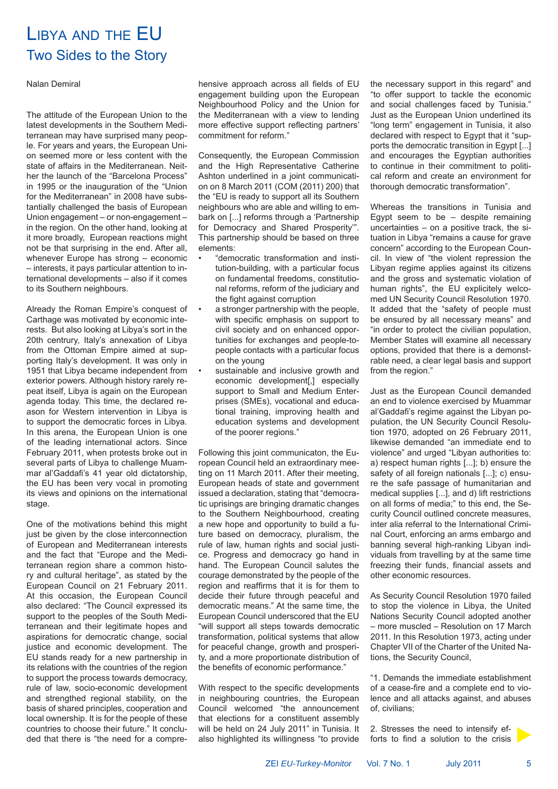## LIBYA AND THE EU Two Sides to the Story

#### Nalan Demiral

The attitude of the European Union to the latest developments in the Southern Mediterranean may have surprised many people. For years and years, the European Union seemed more or less content with the state of affairs in the Mediterranean. Neither the launch of the "Barcelona Process" in 1995 or the inauguration of the "Union for the Mediterranean" in 2008 have substantially challenged the basis of European Union engagement – or non-engagement – in the region. On the other hand, looking at it more broadly, European reactions might not be that surprising in the end. After all, whenever Europe has strong – economic – interests, it pays particular attention to international developments – also if it comes to its Southern neighbours.

Already the Roman Empire's conquest of Carthage was motivated by economic interests. But also looking at Libya's sort in the 20th centrury, Italy's annexation of Libya from the Ottoman Empire aimed at supporting Italy's development. It was only in 1951 that Libya became independent from exterior powers. Although history rarely repeat itself, Libya is again on the European agenda today. This time, the declared reason for Western intervention in Libya is to support the democratic forces in Libya. In this arena, the European Union is one of the leading international actors. Since February 2011, when protests broke out in several parts of Libya to challenge Muammar al'Gaddafi's 41 year old dictatorship, the EU has been very vocal in promoting its views and opinions on the international stage.

One of the motivations behind this might just be given by the close interconnection of European and Mediterranean interests and the fact that "Europe and the Mediterranean region share a common history and cultural heritage", as stated by the European Council on 21 February 2011. At this occasion, the European Council also declared: "The Council expressed its support to the peoples of the South Mediterranean and their legitimate hopes and aspirations for democratic change, social justice and economic development. The EU stands ready for a new partnership in its relations with the countries of the region to support the process towards democracy, rule of law, socio-economic development and strengthed regional stability, on the basis of shared principles, cooperation and local ownership. It is for the people of these countries to choose their future." It concluded that there is "the need for a comprehensive approach across all fields of EU engagement building upon the European Neighbourhood Policy and the Union for the Mediterranean with a view to lending more effective support reflecting partners' commitment for reform."

Consequently, the European Commission and the High Representative Catherine Ashton underlined in a joint communication on 8 March 2011 (COM (2011) 200) that the "EU is ready to support all its Southern neighbours who are able and willing to embark on [...] reforms through a 'Partnership for Democracy and Shared Prosperity'". This partnership should be based on three elements:

- "democratic transformation and institution-building, with a particular focus on fundamental freedoms, constitutional reforms, reform of the judiciary and the fight against corruption
- a stronger partnership with the people, with specific emphasis on support to civil society and on enhanced opportunities for exchanges and people-topeople contacts with a particular focus on the young
- sustainable and inclusive growth and economic development[,] especially support to Small and Medium Enterprises (SMEs), vocational and educational training, improving health and education systems and development of the poorer regions."

Following this joint communicaton, the European Council held an extraordinary meeting on 11 March 2011. After their meeting, European heads of state and government issued a declaration, stating that "democratic uprisings are bringing dramatic changes to the Southern Neighbourhood, creating a new hope and opportunity to build a future based on democracy, pluralism, the rule of law, human rights and social justice. Progress and democracy go hand in hand. The European Council salutes the courage demonstrated by the people of the region and reaffirms that it is for them to decide their future through peaceful and democratic means." At the same time, the European Council underscored that the EU "will support all steps towards democratic transformation, political systems that allow for peaceful change, growth and prosperity, and a more proportionate distribution of the benefits of economic performance."

With respect to the specific developments in neighbouring countries, the European Council welcomed "the announcement that elections for a constituent assembly will be held on 24 July 2011" in Tunisia. It also highlighted its willingness "to provide the necessary support in this regard" and "to offer support to tackle the economic and social challenges faced by Tunisia." Just as the European Union underlined its "long term" engagement in Tunisia, it also declared with respect to Egypt that it "supports the democratic transition in Egypt [...] and encourages the Egyptian authorities to continue in their commitment to political reform and create an environment for thorough democratic transformation".

Whereas the transitions in Tunisia and Egypt seem to be  $-$  despite remaining uncertainties – on a positive track, the situation in Libya "remains a cause for grave concern" according to the European Council. In view of "the violent repression the Libyan regime applies against its citizens and the gross and systematic violation of human rights", the EU explicitely welcomed UN Security Council Resolution 1970. It added that the "safety of people must be ensured by all necessary means" and "in order to protect the civilian population, Member States will examine all necessary options, provided that there is a demonstrable need, a clear legal basis and support from the region."

Just as the European Council demanded an end to violence exercised by Muammar al'Gaddafi's regime against the Libyan population, the UN Security Council Resolution 1970, adopted on 26 February 2011, likewise demanded "an immediate end to violence" and urged "Libyan authorities to: a) respect human rights [...]; b) ensure the safety of all foreign nationals [...]; c) ensure the safe passage of humanitarian and medical supplies [...], and d) lift restrictions on all forms of media;" to this end, the Security Council outlined concrete measures, inter alia referral to the International Criminal Court, enforcing an arms embargo and banning several high-ranking Libyan individuals from travelling by at the same time freezing their funds, financial assets and other economic resources.

As Security Council Resolution 1970 failed to stop the violence in Libya, the United Nations Security Council adopted another – more muscled – Resolution on 17 March 2011. In this Resolution 1973, acting under Chapter VII of the Charter of the United Nations, the Security Council,

"1. Demands the immediate establishment of a cease-fire and a complete end to violence and all attacks against, and abuses of, civilians;

2. Stresses the need to intensify efforts to find a solution to the crisis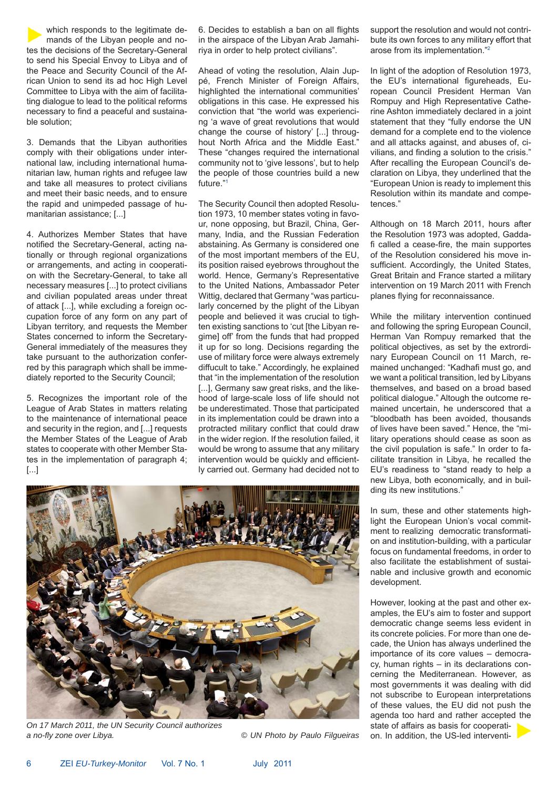which responds to the legitimate demands of the Libyan people and notes the decisions of the Secretary-General to send his Special Envoy to Libya and of the Peace and Security Council of the African Union to send its ad hoc High Level Committee to Libya with the aim of facilitating dialogue to lead to the political reforms necessary to find a peaceful and sustainable solution;

3. Demands that the Libyan authorities comply with their obligations under international law, including international humanitarian law, human rights and refugee law and take all measures to protect civilians and meet their basic needs, and to ensure the rapid and unimpeded passage of humanitarian assistance; [...]

4. Authorizes Member States that have notified the Secretary-General, acting nationally or through regional organizations or arrangements, and acting in cooperation with the Secretary-General, to take all necessary measures [...] to protect civilians and civilian populated areas under threat of attack [...], while excluding a foreign occupation force of any form on any part of Libyan territory, and requests the Member States concerned to inform the Secretary-General immediately of the measures they take pursuant to the authorization conferred by this paragraph which shall be immediately reported to the Security Council;

5. Recognizes the important role of the League of Arab States in matters relating to the maintenance of international peace and security in the region, and [...] requests the Member States of the League of Arab states to cooperate with other Member States in the implementation of paragraph 4; [...]

6. Decides to establish a ban on all flights in the airspace of the Libyan Arab Jamahiriya in order to help protect civilians".

Ahead of voting the resolution, Alain Juppé, French Minister of Foreign Affairs, highlighted the international communities' obligations in this case. He expressed his conviction that "the world was experiencing 'a wave of great revolutions that would change the course of history' [...] throughout North Africa and the Middle East." These "changes required the international community not to 'give lessons', but to help the people of those countries build a new future."1

The Security Council then adopted Resolution 1973, 10 member states voting in favour, none opposing, but Brazil, China, Germany, India, and the Russian Federation abstaining. As Germany is considered one of the most important members of the EU, its position raised eyebrows throughout the world. Hence, Germany's Representative to the United Nations, Ambassador Peter Wittig, declared that Germany "was particularly concerned by the plight of the Libyan people and believed it was crucial to tighten existing sanctions to 'cut [the Libyan regime] off' from the funds that had propped it up for so long. Decisions regarding the use of military force were always extremely diffucult to take." Accordingly, he explained that "in the implementation of the resolution [...], Germany saw great risks, and the likehood of large-scale loss of life should not be underestimated. Those that participated in its implementation could be drawn into a protracted military conflict that could draw in the wider region. If the resolution failed, it would be wrong to assume that any military intervention would be quickly and efficiently carried out. Germany had decided not to

support the resolution and would not contribute its own forces to any military effort that arose from its implementation."2

In light of the adoption of Resolution 1973, the EU's international figureheads, European Council President Herman Van Rompuy and High Representative Catherine Ashton immediately declared in a joint statement that they "fully endorse the UN demand for a complete end to the violence and all attacks against, and abuses of, civilians, and finding a solution to the crisis." After recalling the European Council's declaration on Libya, they underlined that the "European Union is ready to implement this Resolution within its mandate and competences."

Although on 18 March 2011, hours after the Resolution 1973 was adopted, Gaddafi called a cease-fire, the main supportes of the Resolution considered his move insufficient. Accordingly, the United States, Great Britain and France started a military intervention on 19 March 2011 with French planes flying for reconnaissance.

While the military intervention continued and following the spring European Council, Herman Van Rompuy remarked that the political objectives, as set by the extrordinary European Council on 11 March, remained unchanged: "Kadhafi must go, and we want a political transition, led by Libyans themselves, and based on a broad based political dialogue." Altough the outcome remained uncertain, he underscored that a "bloodbath has been avoided, thousands of lives have been saved." Hence, the "military operations should cease as soon as the civil population is safe." In order to facilitate transition in Libya, he recalled the EU's readiness to "stand ready to help a new Libya, both economically, and in building its new institutions."

In sum, these and other statements highlight the European Union's vocal commitment to realizing democratic transformation and institution-building, with a particular focus on fundamental freedoms, in order to also facilitate the establishment of sustainable and inclusive growth and economic development.

However, looking at the past and other examples, the EU's aim to foster and support democratic change seems less evident in its concrete policies. For more than one decade, the Union has always underlined the importance of its core values – democracy, human rights – in its declarations concerning the Mediterranean. However, as most governments it was dealing with did not subscribe to European interpretations of these values, the EU did not push the agenda too hard and rather accepted the state of affairs as basis for cooperation. In addition, the US-led interventi-



*On 17 March 2011, the UN Security Council authorizes a no-fly zone over Libya. © UN Photo by Paulo Filgueiras*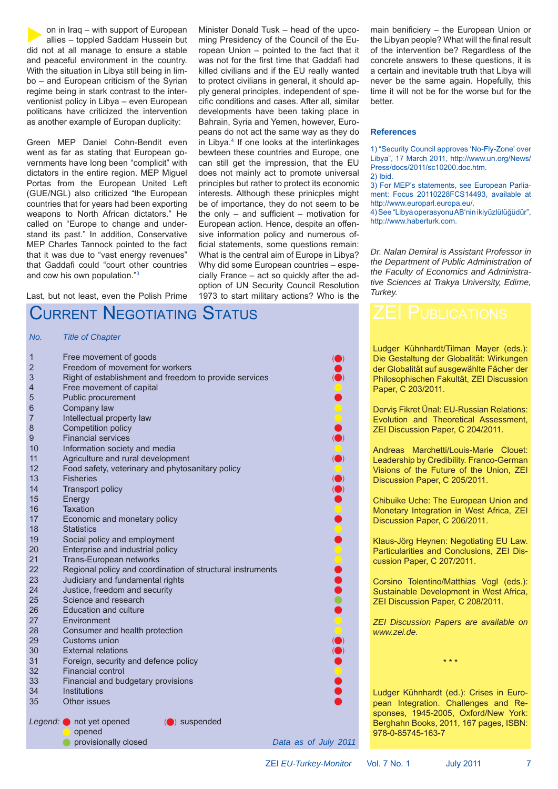on in Iraq – with support of European allies – toppled Saddam Hussein but did not at all manage to ensure a stable and peaceful environment in the country. With the situation in Libya still being in limbo – and European criticism of the Syrian regime being in stark contrast to the interventionist policy in Libya – even European politicans have criticized the intervention as another example of Europan duplicity:

Green MEP Daniel Cohn-Bendit even went as far as stating that European governments have long been "complicit" with dictators in the entire region. MEP Miguel Portas from the European United Left (GUE/NGL) also criticized "the European countries that for years had been exporting weapons to North African dictators." He called on "Europe to change and understand its past." In addition, Conservative MEP Charles Tannock pointed to the fact that it was due to "vast energy revenues" that Gaddafi could "court other countries and cow his own population."3

Last, but not least, even the Polish Prime

## CURRENT NEGOTIATING STATUS

#### *No. Title of Chapter*

| $\mathbf{r} \mathbf{v}$ . | Thus of Shapton                                             |  |                      |
|---------------------------|-------------------------------------------------------------|--|----------------------|
| $\mathbf{1}$              | Free movement of goods                                      |  |                      |
| $\overline{2}$            | Freedom of movement for workers                             |  |                      |
| 3                         | Right of establishment and freedom to provide services      |  |                      |
| 4                         | Free movement of capital                                    |  |                      |
| 5                         | Public procurement                                          |  |                      |
| 6                         | Company law                                                 |  |                      |
| 7                         | Intellectual property law                                   |  |                      |
| 8                         | Competition policy                                          |  |                      |
| 9                         | <b>Financial services</b>                                   |  |                      |
| 10                        | Information society and media                               |  |                      |
| 11                        | Agriculture and rural development                           |  |                      |
| 12                        | Food safety, veterinary and phytosanitary policy            |  |                      |
| 13                        | <b>Fisheries</b>                                            |  |                      |
| 14                        | <b>Transport policy</b>                                     |  |                      |
| 15                        | Energy                                                      |  |                      |
| 16                        | <b>Taxation</b>                                             |  |                      |
| 17                        | Economic and monetary policy                                |  |                      |
| 18                        | <b>Statistics</b>                                           |  |                      |
| 19                        | Social policy and employment                                |  |                      |
| 20                        | Enterprise and industrial policy                            |  |                      |
| 21                        | Trans-European networks                                     |  |                      |
| 22                        | Regional policy and coordination of structural instruments  |  |                      |
| 23                        | Judiciary and fundamental rights                            |  |                      |
| 24                        | Justice, freedom and security                               |  |                      |
| 25                        | Science and research                                        |  |                      |
| 26                        | <b>Education and culture</b>                                |  |                      |
| 27                        | Environment                                                 |  |                      |
| 28                        | Consumer and health protection                              |  |                      |
| 29                        | Customs union                                               |  |                      |
| 30                        | <b>External relations</b>                                   |  |                      |
| 31                        | Foreign, security and defence policy                        |  |                      |
| 32                        | <b>Financial control</b>                                    |  |                      |
| 33                        | Financial and budgetary provisions                          |  |                      |
| 34                        | Institutions                                                |  |                      |
| 35                        | Other issues                                                |  |                      |
|                           | Legend: not yet opened<br>$\left(\bigcirc\right)$ suspended |  |                      |
|                           | opened                                                      |  |                      |
|                           | provisionally closed                                        |  | Data as of July 2011 |
|                           |                                                             |  |                      |

main benificiery – the European Union or the Libyan people? What will the final result of the intervention be? Regardless of the concrete answers to these questions, it is a certain and inevitable truth that Libya will never be the same again. Hopefully, this time it will not be for the worse but for the better.

#### **References**

Minister Donald Tusk – head of the upcoming Presidency of the Council of the European Union – pointed to the fact that it was not for the first time that Gaddafi had killed civilians and if the EU really wanted to protect civilians in general, it should apply general principles, independent of specific conditions and cases. After all, similar developments have been taking place in Bahrain, Syria and Yemen, however, Europeans do not act the same way as they do in Libya.4 If one looks at the interlinkages bewteen these countries and Europe, one can still get the impression, that the EU does not mainly act to promote universal principles but rather to protect its economic interests. Although these prinicples might be of importance, they do not seem to be the only – and sufficient – motivation for European action. Hence, despite an offensive information policy and numerous official statements, some questions remain: What is the central aim of Europe in Libya? Why did some European countries – especially France – act so quickly after the adoption of UN Security Council Resolution 1973 to start military actions? Who is the

1) "Security Council approves 'No-Fly-Zone' over Libya", 17 March 2011, http://www.un.org/News/ Press/docs/2011/sc10200.doc.htm. 2) Ibid.

3) For MEP's statements, see European Parliament: Focus 20110228FCS14493, available at http://www.europarl.europa.eu/.

4) See "Libya operasyonu AB'nin ikiyüzlülüğüdür", http://www.haberturk.com.

*Dr. Nalan Demiral is Assistant Professor in the Department of Public Administration of the Faculty of Economics and Administrative Sciences at Trakya University, Edirne, Turkey.*

Ludger Kühnhardt/Tilman Mayer (eds.): Die Gestaltung der Globalität: Wirkungen der Globalität auf ausgewählte Fächer der Philosophischen Fakultät, ZEI Discussion Paper, C 203/2011.

Derviş Fikret Ünal: EU-Russian Relations: Evolution and Theoretical Assessment, ZEI Discussion Paper, C 204/2011.

Andreas Marchetti/Louis-Marie Clouet: Leadership by Credibility. Franco-German Visions of the Future of the Union, ZEI Discussion Paper, C 205/2011.

Chibuike Uche: The European Union and Monetary Integration in West Africa, ZEI Discussion Paper, C 206/2011.

Klaus-Jörg Heynen: Negotiating EU Law. Particularities and Conclusions, ZEI Discussion Paper, C 207/2011.

Corsino Tolentino/Matthias Vogl (eds.): Sustainable Development in West Africa, ZEI Discussion Paper, C 208/2011.

*ZEI Discussion Papers are available on www.zei.de.*

\* \* \*

Ludger Kühnhardt (ed.): Crises in European Integration. Challenges and Responses, 1945-2005, Oxford/New York: Berghahn Books, 2011, 167 pages, ISBN: 978-0-85745-163-7